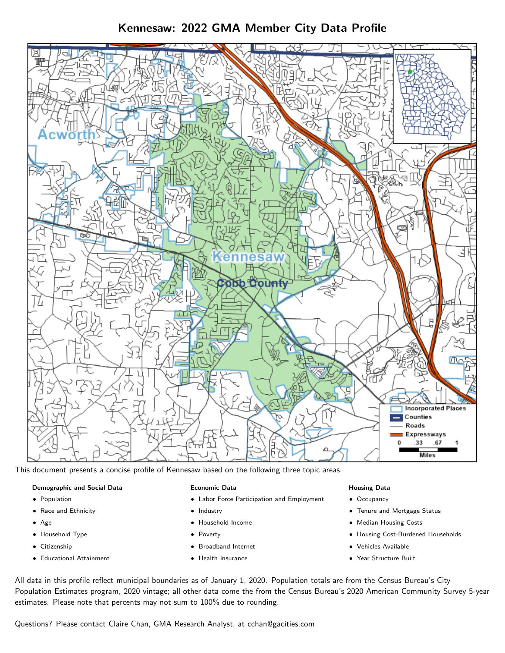# Kennesaw: 2022 GMA Member City Data Profile



This document presents a concise profile of Kennesaw based on the following three topic areas:

## Demographic and Social Data

- **•** Population
- Race and Ethnicity
- Age
- Household Type
- **Citizenship**
- Educational Attainment

### Economic Data

- Labor Force Participation and Employment
- Industry
- Household Income
- Poverty
- Broadband Internet
- Health Insurance

### Housing Data

- Occupancy
- Tenure and Mortgage Status
- Median Housing Costs
- Housing Cost-Burdened Households
- Vehicles Available
- Year Structure Built

All data in this profile reflect municipal boundaries as of January 1, 2020. Population totals are from the Census Bureau's City Population Estimates program, 2020 vintage; all other data come the from the Census Bureau's 2020 American Community Survey 5-year estimates. Please note that percents may not sum to 100% due to rounding.

Questions? Please contact Claire Chan, GMA Research Analyst, at [cchan@gacities.com.](mailto:cchan@gacities.com)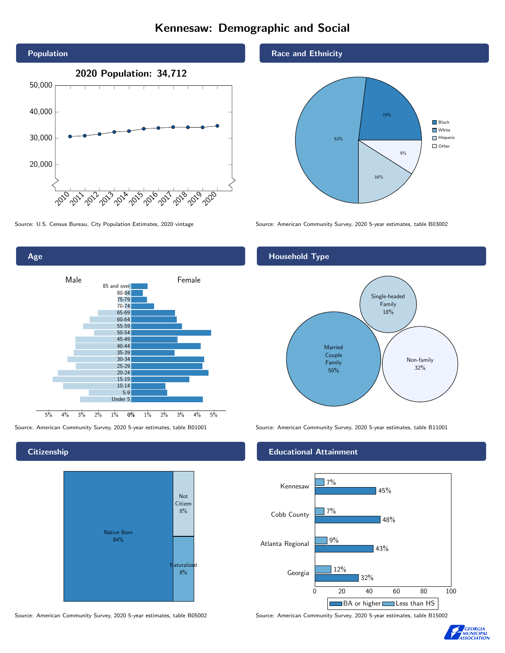# Kennesaw: Demographic and Social





**Citizenship** 



Race and Ethnicity



Source: U.S. Census Bureau, City Population Estimates, 2020 vintage Source: American Community Survey, 2020 5-year estimates, table B03002

## Household Type



Source: American Community Survey, 2020 5-year estimates, table B01001 Source: American Community Survey, 2020 5-year estimates, table B11001

### Educational Attainment



Source: American Community Survey, 2020 5-year estimates, table B05002 Source: American Community Survey, 2020 5-year estimates, table B15002

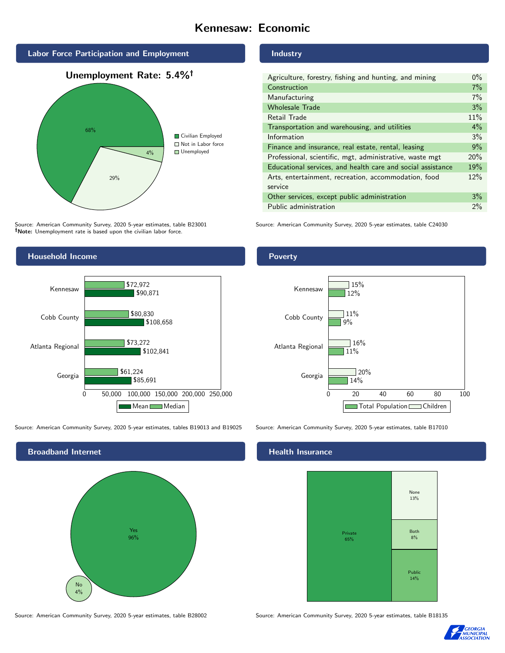# Kennesaw: Economic



Source: American Community Survey, 2020 5-year estimates, table B23001 Note: Unemployment rate is based upon the civilian labor force.



Source: American Community Survey, 2020 5-year estimates, tables B19013 and B19025 Source: American Community Survey, 2020 5-year estimates, table B17010



Source: American Community Survey, 2020 5-year estimates, table B28002 Source: American Community Survey, 2020 5-year estimates, table B18135

#### Industry

| Agriculture, forestry, fishing and hunting, and mining      | $0\%$ |
|-------------------------------------------------------------|-------|
| Construction                                                | 7%    |
| Manufacturing                                               | 7%    |
| <b>Wholesale Trade</b>                                      | 3%    |
| Retail Trade                                                | 11%   |
| Transportation and warehousing, and utilities               | $4\%$ |
| Information                                                 | 3%    |
| Finance and insurance, real estate, rental, leasing         | 9%    |
| Professional, scientific, mgt, administrative, waste mgt    | 20%   |
| Educational services, and health care and social assistance | 19%   |
| Arts, entertainment, recreation, accommodation, food        | 12%   |
| service                                                     |       |
| Other services, except public administration                | 3%    |
| Public administration                                       | 2%    |

Source: American Community Survey, 2020 5-year estimates, table C24030

## Poverty



## **Health Insurance**